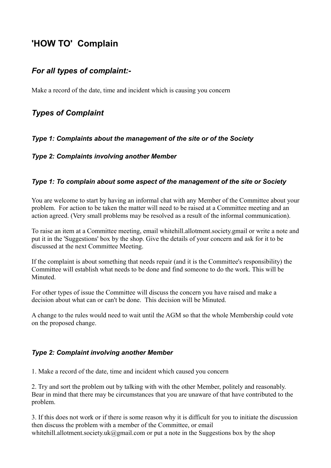# **'HOW TO' Complain**

## *For all types of complaint:-*

Make a record of the date, time and incident which is causing you concern

## *Types of Complaint*

*Type 1: Complaints about the management of the site or of the Society*

#### *Type 2: Complaints involving another Member*

### *Type 1: To complain about some aspect of the management of the site or Society*

You are welcome to start by having an informal chat with any Member of the Committee about your problem. For action to be taken the matter will need to be raised at a Committee meeting and an action agreed. (Very small problems may be resolved as a result of the informal communication).

To raise an item at a Committee meeting, email whitehill.allotment.society.gmail or write a note and put it in the 'Suggestions' box by the shop. Give the details of your concern and ask for it to be discussed at the next Committee Meeting.

If the complaint is about something that needs repair (and it is the Committee's responsibility) the Committee will establish what needs to be done and find someone to do the work. This will be Minuted.

For other types of issue the Committee will discuss the concern you have raised and make a decision about what can or can't be done. This decision will be Minuted.

A change to the rules would need to wait until the AGM so that the whole Membership could vote on the proposed change.

#### *Type 2: Complaint involving another Member*

1. Make a record of the date, time and incident which caused you concern

2. Try and sort the problem out by talking with with the other Member, politely and reasonably. Bear in mind that there may be circumstances that you are unaware of that have contributed to the problem.

3. If this does not work or if there is some reason why it is difficult for you to initiate the discussion then discuss the problem with a member of the Committee, or email whitehill.allotment.society.uk@gmail.com or put a note in the Suggestions box by the shop